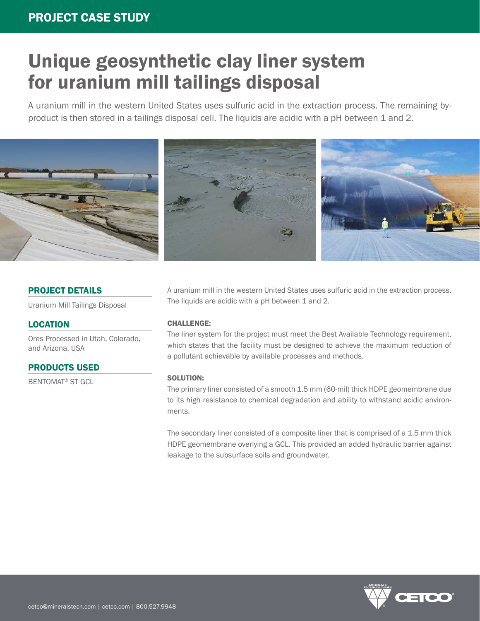# Unique geosynthetic clay liner system for uranium mill tailings disposal

A uranium mill in the western United States uses sulfuric acid in the extraction process. The remaining byproduct is then stored in a tailings disposal cell. The liquids are acidic with a pH between 1 and 2.



#### PROJECT DETAILS

Uranium Mill Tailings Disposal

### **LOCATION**

Ores Processed in Utah, Colorado, and Arizona, USA

#### PRODUCTS USED

BENTOMAT® ST GCL

A uranium mill in the western United States uses sulfuric acid in the extraction process. The liquids are acidic with a pH between 1 and 2.

#### CHALLENGE:

The liner system for the project must meet the Best Available Technology requirement, which states that the facility must be designed to achieve the maximum reduction of a pollutant achievable by available processes and methods.

#### SOLUTION:

The primary liner consisted of a smooth 1.5 mm (60-mil) thick HDPE geomembrane due to its high resistance to chemical degradation and ability to withstand acidic environments.

The secondary liner consisted of a composite liner that is comprised of a 1.5 mm thick HDPE geomembrane overlying a GCL. This provided an added hydraulic barrier against leakage to the subsurface soils and groundwater.